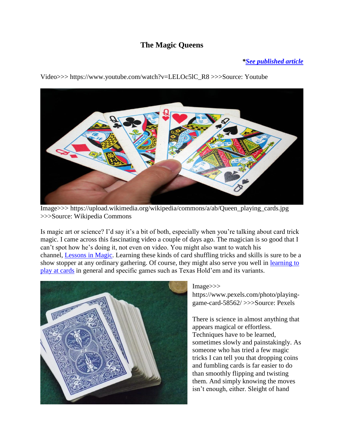## **The Magic Queens**

## *[\\*See published article](http://www.kuriositas.com/2017/01/the-magic-queens.html)*

Image>>> https://upload.wikimedia.org/wikipedia/commons/a/ab/Queen\_playing\_cards.jpg

Video>>> https://www.youtube.com/watch?v=LELOc5lC\_R8 >>>Source: Youtube

>>>Source: Wikipedia Commons

Is magic art or science? I'd say it's a bit of both, especially when you're talking about card trick magic. I came across this fascinating video a couple of days ago. The magician is so good that I can't spot how he's doing it, not even on video. You might also want to watch his channel, [Lessons in Magic.](https://www.youtube.com/channel/UCO_gx6ZjQZCgxFaF4MR1Xuw) Learning these kinds of card shuffling tricks and skills is sure to be a show stopper at any ordinary gathering. Of course, they might also serve you well in [learning to](https://www.pokerstars.com/poker/d/)  [play at cards](https://www.pokerstars.com/poker/d/) in general and specific games such as Texas Hold'em and its variants.



## Image>>>

https://www.pexels.com/photo/playinggame-card-58562/ >>>Source: Pexels

There is science in almost anything that appears magical or effortless. Techniques have to be learned, sometimes slowly and painstakingly. As someone who has tried a few magic tricks I can tell you that dropping coins and fumbling cards is far easier to do than smoothly flipping and twisting them. And simply knowing the moves isn't enough, either. Sleight of hand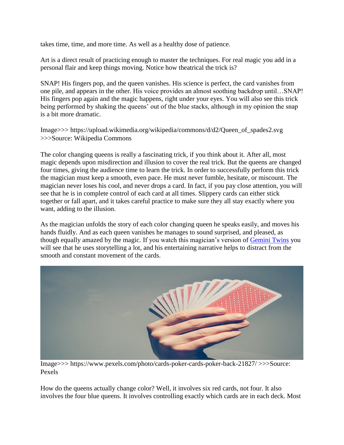takes time, time, and more time. As well as a healthy dose of patience.

Art is a direct result of practicing enough to master the techniques. For real magic you add in a personal flair and keep things moving. Notice how theatrical the trick is?

SNAP! His fingers pop, and the queen vanishes. His science is perfect, the card vanishes from one pile, and appears in the other. His voice provides an almost soothing backdrop until…SNAP! His fingers pop again and the magic happens, right under your eyes. You will also see this trick being performed by shaking the queens' out of the blue stacks, although in my opinion the snap is a bit more dramatic.

Image>>> https://upload.wikimedia.org/wikipedia/commons/d/d2/Queen\_of\_spades2.svg >>>Source: Wikipedia Commons

The color changing queens is really a fascinating trick, if you think about it. After all, most magic depends upon misdirection and illusion to cover the real trick. But the queens are changed four times, giving the audience time to learn the trick. In order to successfully perform this trick the magician must keep a smooth, even pace. He must never fumble, hesitate, or miscount. The magician never loses his cool, and never drops a card. In fact, if you pay close attention, you will see that he is in complete control of each card at all times. Slippery cards can either stick together or fall apart, and it takes careful practice to make sure they all stay exactly where you want, adding to the illusion.

As the magician unfolds the story of each color changing queen he speaks easily, and moves his hands fluidly. And as each queen vanishes he manages to sound surprised, and pleased, as though equally amazed by the magic. If you watch this magician's version of [Gemini Twins](https://www.youtube.com/watch?v=JHtvbHW8NQ8) you will see that he uses storytelling a lot, and his entertaining narrative helps to distract from the smooth and constant movement of the cards.



Image>>> https://www.pexels.com/photo/cards-poker-cards-poker-back-21827/ >>>Source: Pexels

How do the queens actually change color? Well, it involves six red cards, not four. It also involves the four blue queens. It involves controlling exactly which cards are in each deck. Most